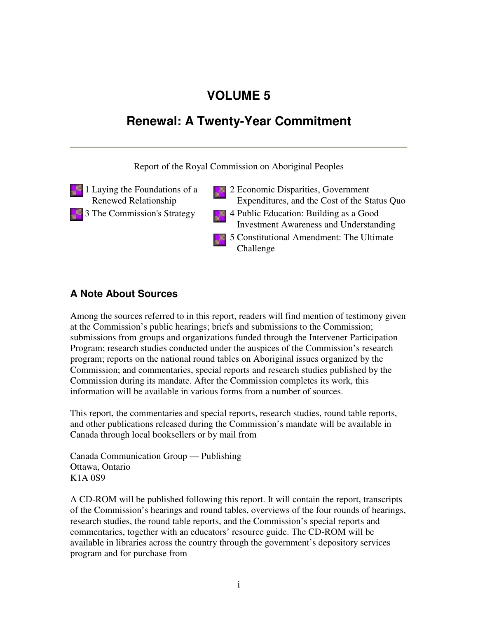## **VOLUME 5**

## **Renewal: A Twenty-Year Commitment**

Report of the Royal Commission on Aboriginal Peoples

- 1 Laying the Foundations of a Renewed Relationship
	- 3 The Commission's Strategy 4 Public Education: Building as a Good
- 2 Economic Disparities, Government Expenditures, and the Cost of the Status Quo
	- Investment Awareness and Understanding
	- 5 Constitutional Amendment: The Ultimate Challenge

## **A Note About Sources**

Among the sources referred to in this report, readers will find mention of testimony given at the Commission's public hearings; briefs and submissions to the Commission; submissions from groups and organizations funded through the Intervener Participation Program; research studies conducted under the auspices of the Commission's research program; reports on the national round tables on Aboriginal issues organized by the Commission; and commentaries, special reports and research studies published by the Commission during its mandate. After the Commission completes its work, this information will be available in various forms from a number of sources.

This report, the commentaries and special reports, research studies, round table reports, and other publications released during the Commission's mandate will be available in Canada through local booksellers or by mail from

Canada Communication Group — Publishing Ottawa, Ontario K1A 0S9

A CD-ROM will be published following this report. It will contain the report, transcripts of the Commission's hearings and round tables, overviews of the four rounds of hearings, research studies, the round table reports, and the Commission's special reports and commentaries, together with an educators' resource guide. The CD-ROM will be available in libraries across the country through the government's depository services program and for purchase from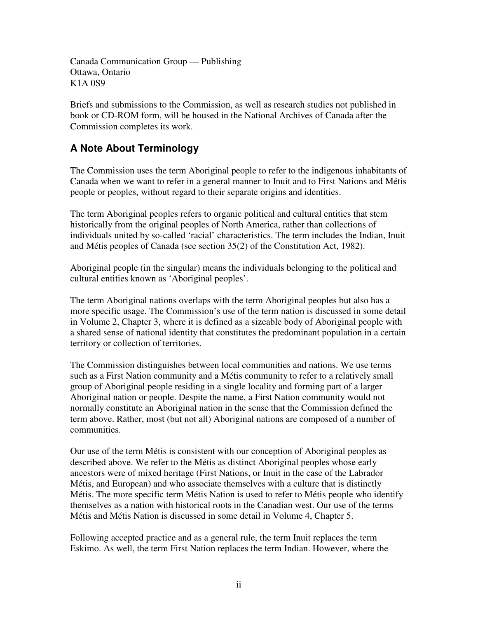Canada Communication Group — Publishing Ottawa, Ontario K1A 0S9

Briefs and submissions to the Commission, as well as research studies not published in book or CD-ROM form, will be housed in the National Archives of Canada after the Commission completes its work.

## **A Note About Terminology**

The Commission uses the term Aboriginal people to refer to the indigenous inhabitants of Canada when we want to refer in a general manner to Inuit and to First Nations and Métis people or peoples, without regard to their separate origins and identities.

The term Aboriginal peoples refers to organic political and cultural entities that stem historically from the original peoples of North America, rather than collections of individuals united by so-called 'racial' characteristics. The term includes the Indian, Inuit and Métis peoples of Canada (see section 35(2) of the Constitution Act, 1982).

Aboriginal people (in the singular) means the individuals belonging to the political and cultural entities known as 'Aboriginal peoples'.

The term Aboriginal nations overlaps with the term Aboriginal peoples but also has a more specific usage. The Commission's use of the term nation is discussed in some detail in Volume 2, Chapter 3, where it is defined as a sizeable body of Aboriginal people with a shared sense of national identity that constitutes the predominant population in a certain territory or collection of territories.

The Commission distinguishes between local communities and nations. We use terms such as a First Nation community and a Métis community to refer to a relatively small group of Aboriginal people residing in a single locality and forming part of a larger Aboriginal nation or people. Despite the name, a First Nation community would not normally constitute an Aboriginal nation in the sense that the Commission defined the term above. Rather, most (but not all) Aboriginal nations are composed of a number of communities.

Our use of the term Métis is consistent with our conception of Aboriginal peoples as described above. We refer to the Métis as distinct Aboriginal peoples whose early ancestors were of mixed heritage (First Nations, or Inuit in the case of the Labrador Métis, and European) and who associate themselves with a culture that is distinctly Métis. The more specific term Métis Nation is used to refer to Métis people who identify themselves as a nation with historical roots in the Canadian west. Our use of the terms Métis and Métis Nation is discussed in some detail in Volume 4, Chapter 5.

Following accepted practice and as a general rule, the term Inuit replaces the term Eskimo. As well, the term First Nation replaces the term Indian. However, where the